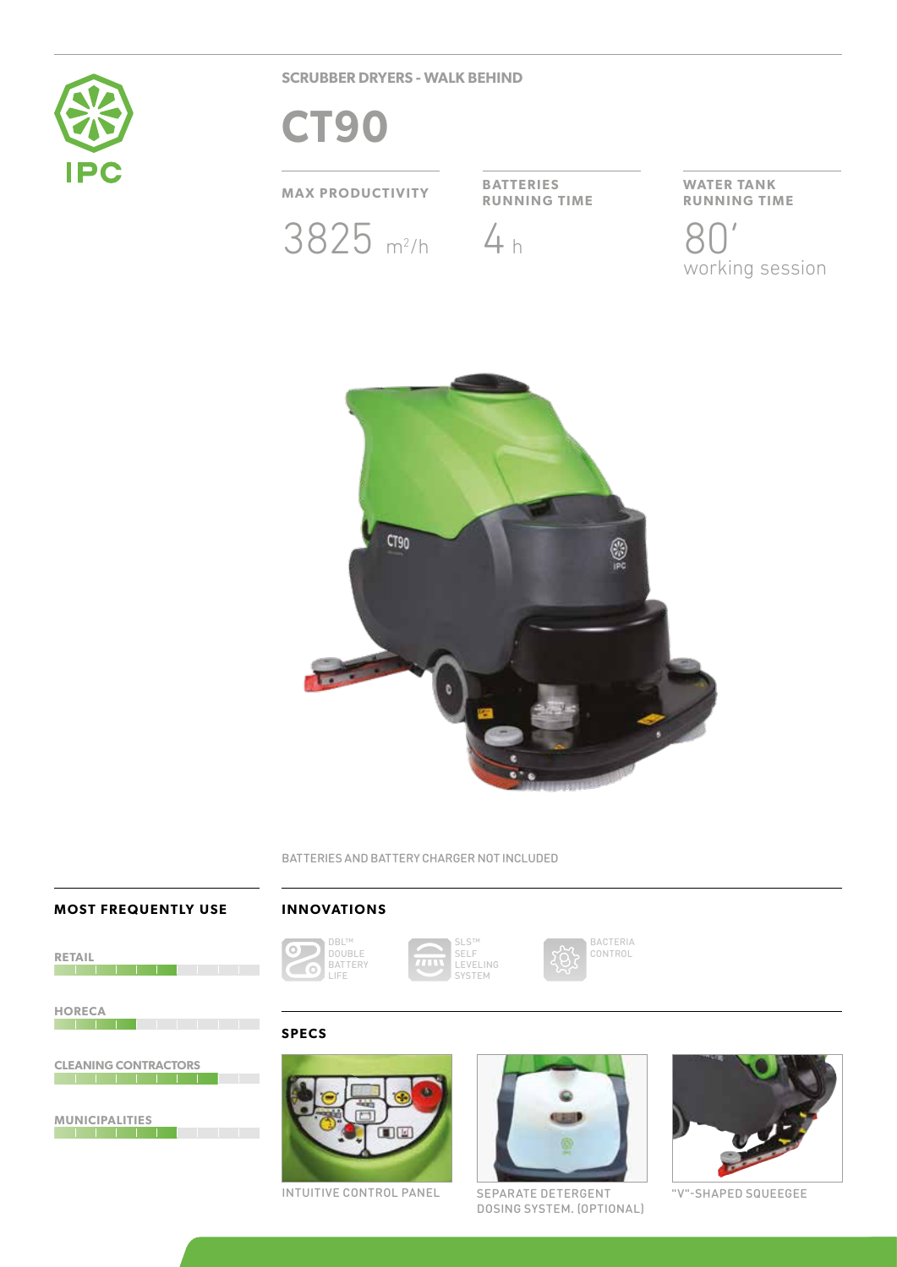

**SCRUBBER DRYERS - WALK BEHIND**

# **CT90**

## **MAX PRODUCTIVITY BATTERIES**



**RUNNING TIME**



**WATER TANK RUNNING TIME**

working session



BATTERIES AND BATTERY CHARGER NOT INCLUDED

#### **MOST FREQUENTLY USE**

## **INNOVATIONS**

**RETAIL**

**HORECA** 

**CLEANING CONTRACTORS**

**MUNICIPALITIES**



SLS™ SELF LEVELING SYSTEM



BACTERIA CONTROL

**SPECS**





INTUITIVE CONTROL PANEL SEPARATE DETERGENT "V"-SHAPED SQUEEGEE DOSING SYSTEM. (OPTIONAL)